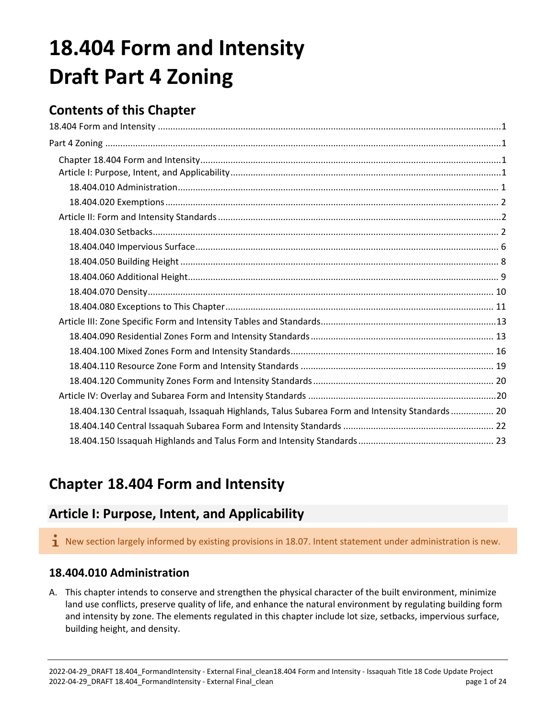# <span id="page-0-1"></span><span id="page-0-0"></span>**18.404 Form and Intensity Draft Part 4 Zoning**

# **Contents of this Chapter**

| 18.404.130 Central Issaquah, Issaquah Highlands, Talus Subarea Form and Intensity Standards 20 |  |
|------------------------------------------------------------------------------------------------|--|
|                                                                                                |  |
|                                                                                                |  |

# <span id="page-0-2"></span>**Chapter 18.404 Form and Intensity**

# <span id="page-0-3"></span>**Article I: Purpose, Intent, and Applicability**

 $\mathbf I$  New section largely informed by existing provisions in 18.07. Intent statement under administration is new.

# <span id="page-0-4"></span>**18.404.010 Administration**

A. This chapter intends to conserve and strengthen the physical character of the built environment, minimize land use conflicts, preserve quality of life, and enhance the natural environment by regulating building form and intensity by zone. The elements regulated in this chapter include lot size, setbacks, impervious surface, building height, and density.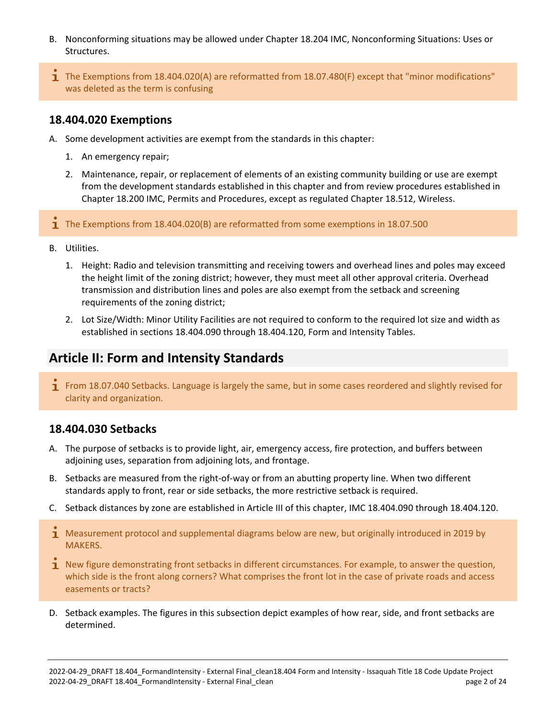- B. Nonconforming situations may be allowed under Chapter 18.204 IMC, Nonconforming Situations: Uses or Structures.
- The Exemptions from 18.404.020(A) are reformatted from 18.07.480(F) except that "minor modifications" was deleted as the term is confusing

# <span id="page-1-0"></span>**18.404.020 Exemptions**

- A. Some development activities are exempt from the standards in this chapter:
	- 1. An emergency repair;
	- 2. Maintenance, repair, or replacement of elements of an existing community building or use are exempt from the development standards established in this chapter and from review procedures established in Chapter 18.200 IMC, Permits and Procedures, except as regulated Chapter 18.512, Wireless.

 $\mathbf{I}$  The Exemptions from 18.404.020(B) are reformatted from some exemptions in 18.07.500

- B. Utilities.
	- 1. Height: Radio and television transmitting and receiving towers and overhead lines and poles may exceed the height limit of the zoning district; however, they must meet all other approval criteria. Overhead transmission and distribution lines and poles are also exempt from the setback and screening requirements of the zoning district;
	- 2. Lot Size/Width: Minor Utility Facilities are not required to conform to the required lot size and width as established in sections 18.404.090 through 18.404.120, Form and Intensity Tables.

# <span id="page-1-1"></span>**Article II: Form and Intensity Standards**

**T** From 18.07.040 Setbacks. Language is largely the same, but in some cases reordered and slightly revised for clarity and organization.

# <span id="page-1-2"></span>**18.404.030 Setbacks**

- A. The purpose of setbacks is to provide light, air, emergency access, fire protection, and buffers between adjoining uses, separation from adjoining lots, and frontage.
- B. Setbacks are measured from the right-of-way or from an abutting property line. When two different standards apply to front, rear or side setbacks, the more restrictive setback is required.
- C. Setback distances by zone are established in Article III of this chapter, IMC 18.404.090 through 18.404.120.
- **1** Measurement protocol and supplemental diagrams below are new, but originally introduced in 2019 by MAKERS.
- 1 New figure demonstrating front setbacks in different circumstances. For example, to answer the question, which side is the front along corners? What comprises the front lot in the case of private roads and access easements or tracts?
- D. Setback examples. The figures in this subsection depict examples of how rear, side, and front setbacks are determined.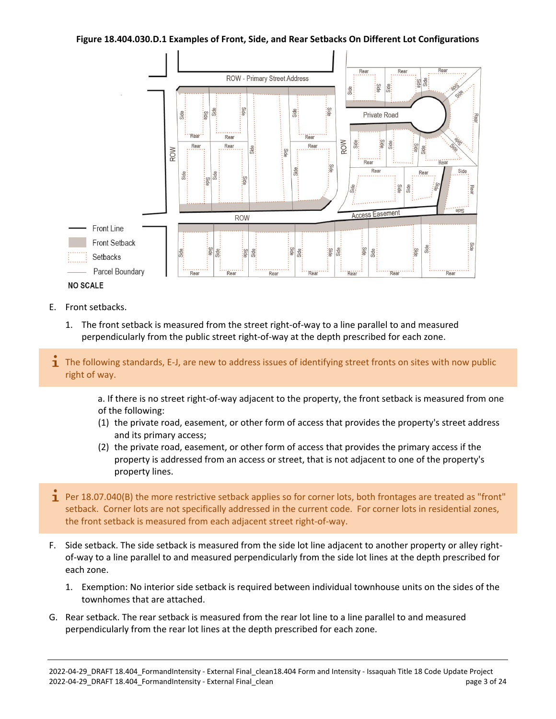#### **Figure 18.404.030.D.1 Examples of Front, Side, and Rear Setbacks On Different Lot Configurations**



- E. Front setbacks.
	- 1. The front setback is measured from the street right-of-way to a line parallel to and measured perpendicularly from the public street right-of-way at the depth prescribed for each zone.
- **T** The following standards, E-J, are new to address issues of identifying street fronts on sites with now public right of way.

a. If there is no street right-of-way adjacent to the property, the front setback is measured from one of the following:

- (1) the private road, easement, or other form of access that provides the property's street address and its primary access;
- (2) the private road, easement, or other form of access that provides the primary access if the property is addressed from an access or street, that is not adjacent to one of the property's property lines.
- 1 Per 18.07.040(B) the more restrictive setback applies so for corner lots, both frontages are treated as "front" setback. Corner lots are not specifically addressed in the current code. For corner lots in residential zones, the front setback is measured from each adjacent street right-of-way.
- F. Side setback. The side setback is measured from the side lot line adjacent to another property or alley rightof-way to a line parallel to and measured perpendicularly from the side lot lines at the depth prescribed for each zone.
	- 1. Exemption: No interior side setback is required between individual townhouse units on the sides of the townhomes that are attached.
- G. Rear setback. The rear setback is measured from the rear lot line to a line parallel to and measured perpendicularly from the rear lot lines at the depth prescribed for each zone.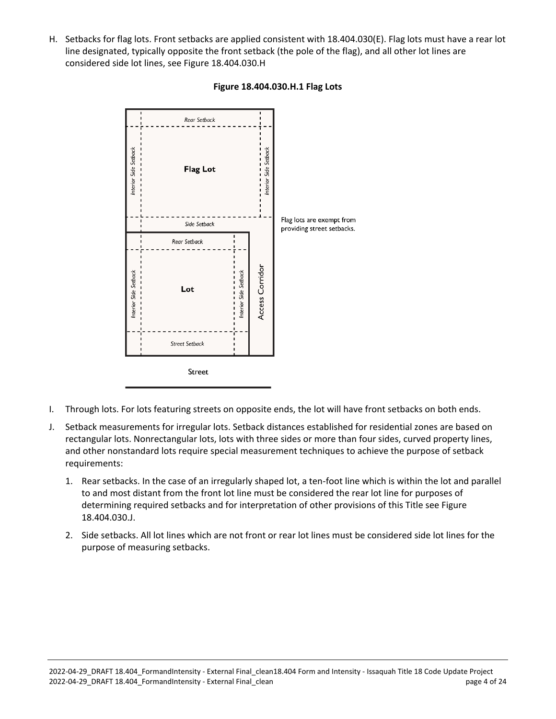H. Setbacks for flag lots. Front setbacks are applied consistent with 18.404.030(E). Flag lots must have a rear lot line designated, typically opposite the front setback (the pole of the flag), and all other lot lines are considered side lot lines, see Figure 18.404.030.H



#### **Figure 18.404.030.H.1 Flag Lots**

- I. Through lots. For lots featuring streets on opposite ends, the lot will have front setbacks on both ends.
- J. Setback measurements for irregular lots. Setback distances established for residential zones are based on rectangular lots. Nonrectangular lots, lots with three sides or more than four sides, curved property lines, and other nonstandard lots require special measurement techniques to achieve the purpose of setback requirements:
	- 1. Rear setbacks. In the case of an irregularly shaped lot, a ten-foot line which is within the lot and parallel to and most distant from the front lot line must be considered the rear lot line for purposes of determining required setbacks and for interpretation of other provisions of this Title see Figure 18.404.030.J.
	- 2. Side setbacks. All lot lines which are not front or rear lot lines must be considered side lot lines for the purpose of measuring setbacks.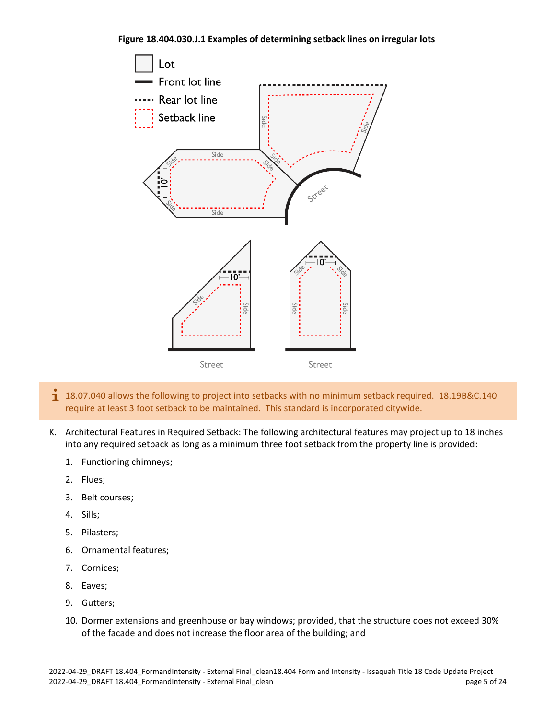#### **Figure 18.404.030.J.1 Examples of determining setback lines on irregular lots**



- $1$  18.07.040 allows the following to project into setbacks with no minimum setback required. 18.19B&C.140 require at least 3 foot setback to be maintained. This standard is incorporated citywide.
- K. Architectural Features in Required Setback: The following architectural features may project up to 18 inches into any required setback as long as a minimum three foot setback from the property line is provided:
	- 1. Functioning chimneys;
	- 2. Flues;
	- 3. Belt courses;
	- 4. Sills;
	- 5. Pilasters;
	- 6. Ornamental features;
	- 7. Cornices;
	- 8. Eaves;
	- 9. Gutters;
	- 10. Dormer extensions and greenhouse or bay windows; provided, that the structure does not exceed 30% of the facade and does not increase the floor area of the building; and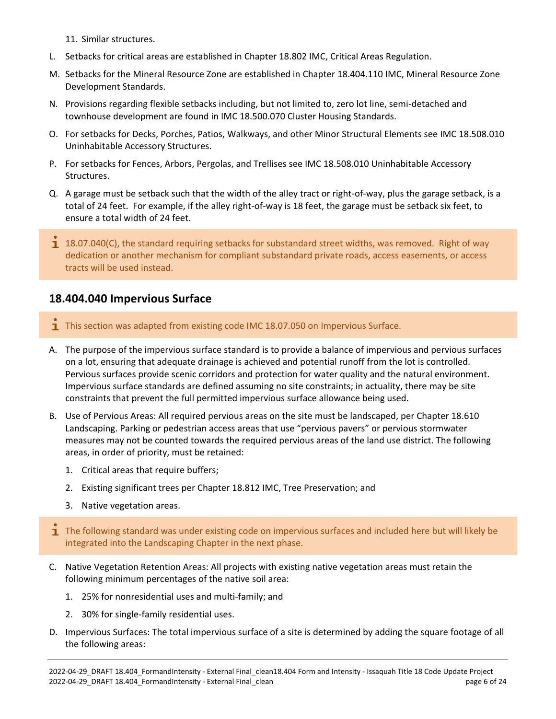11. Similar structures.

- L. Setbacks for critical areas are established in Chapter 18.802 IMC, Critical Areas Regulation.
- M. Setbacks for the Mineral Resource Zone are established in Chapter 18.404.110 IMC, Mineral Resource Zone Development Standards.
- N. Provisions regarding flexible setbacks including, but not limited to, zero lot line, semi-detached and townhouse development are found in IMC 18.500.070 Cluster Housing Standards.
- O. For setbacks for Decks, Porches, Patios, Walkways, and other Minor Structural Elements see IMC 18.508.010 Uninhabitable Accessory Structures.
- P. For setbacks for Fences, Arbors, Pergolas, and Trellises see IMC 18.508.010 Uninhabitable Accessory Structures.
- Q. A garage must be setback such that the width of the alley tract or right-of-way, plus the garage setback, is a total of 24 feet. For example, if the alley right-of-way is 18 feet, the garage must be setback six feet, to ensure a total width of 24 feet.
- $1$  18.07.040(C), the standard requiring setbacks for substandard street widths, was removed. Right of way dedication or another mechanism for compliant substandard private roads, access easements, or access tracts will be used instead.

# <span id="page-5-0"></span>**18.404.040 Impervious Surface**

- **T** This section was adapted from existing code IMC 18.07.050 on Impervious Surface.
- A. The purpose of the impervious surface standard is to provide a balance of impervious and pervious surfaces on a lot, ensuring that adequate drainage is achieved and potential runoff from the lot is controlled. Pervious surfaces provide scenic corridors and protection for water quality and the natural environment. Impervious surface standards are defined assuming no site constraints; in actuality, there may be site constraints that prevent the full permitted impervious surface allowance being used.
- B. Use of Pervious Areas: All required pervious areas on the site must be landscaped, per Chapter 18.610 Landscaping. Parking or pedestrian access areas that use "pervious pavers" or pervious stormwater measures may not be counted towards the required pervious areas of the land use district. The following areas, in order of priority, must be retained:
	- 1. Critical areas that require buffers;
	- 2. Existing significant trees per Chapter 18.812 IMC, Tree Preservation; and
	- 3. Native vegetation areas.
- $\mathbf I$  The following standard was under existing code on impervious surfaces and included here but will likely be integrated into the Landscaping Chapter in the next phase.
- C. Native Vegetation Retention Areas: All projects with existing native vegetation areas must retain the following minimum percentages of the native soil area:
	- 1. 25% for nonresidential uses and multi-family; and
	- 2. 30% for single-family residential uses.
- D. Impervious Surfaces: The total impervious surface of a site is determined by adding the square footage of all the following areas: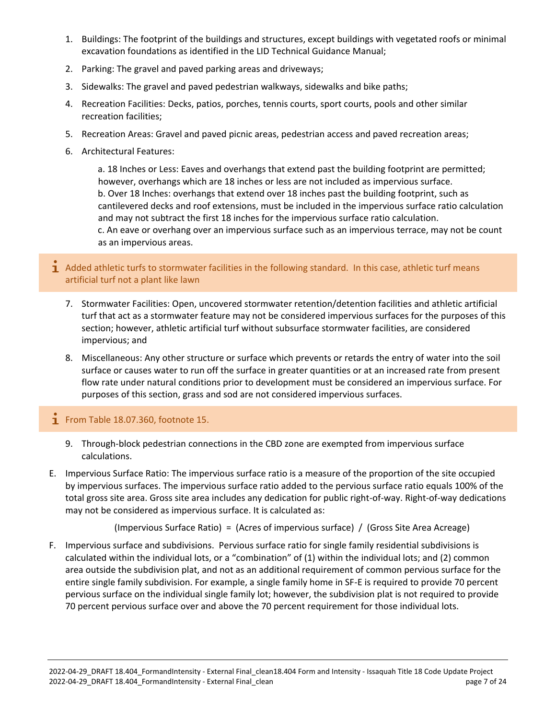- 1. Buildings: The footprint of the buildings and structures, except buildings with vegetated roofs or minimal excavation foundations as identified in the LID Technical Guidance Manual;
- 2. Parking: The gravel and paved parking areas and driveways;
- 3. Sidewalks: The gravel and paved pedestrian walkways, sidewalks and bike paths;
- 4. Recreation Facilities: Decks, patios, porches, tennis courts, sport courts, pools and other similar recreation facilities;
- 5. Recreation Areas: Gravel and paved picnic areas, pedestrian access and paved recreation areas;
- 6. Architectural Features:

a. 18 Inches or Less: Eaves and overhangs that extend past the building footprint are permitted; however, overhangs which are 18 inches or less are not included as impervious surface. b. Over 18 Inches: overhangs that extend over 18 inches past the building footprint, such as cantilevered decks and roof extensions, must be included in the impervious surface ratio calculation and may not subtract the first 18 inches for the impervious surface ratio calculation. c. An eave or overhang over an impervious surface such as an impervious terrace, may not be count as an impervious areas.

1 Added athletic turfs to stormwater facilities in the following standard. In this case, athletic turf means artificial turf not a plant like lawn

- 7. Stormwater Facilities: Open, uncovered stormwater retention/detention facilities and athletic artificial turf that act as a stormwater feature may not be considered impervious surfaces for the purposes of this section; however, athletic artificial turf without subsurface stormwater facilities, are considered impervious; and
- 8. Miscellaneous: Any other structure or surface which prevents or retards the entry of water into the soil surface or causes water to run off the surface in greater quantities or at an increased rate from present flow rate under natural conditions prior to development must be considered an impervious surface. For purposes of this section, grass and sod are not considered impervious surfaces.

### $\mathbf{I}$  From Table 18.07.360, footnote 15.

- 9. Through-block pedestrian connections in the CBD zone are exempted from impervious surface calculations.
- E. Impervious Surface Ratio: The impervious surface ratio is a measure of the proportion of the site occupied by impervious surfaces. The impervious surface ratio added to the pervious surface ratio equals 100% of the total gross site area. Gross site area includes any dedication for public right-of-way. Right-of-way dedications may not be considered as impervious surface. It is calculated as:

(Impervious Surface Ratio) = (Acres of impervious surface) / (Gross Site Area Acreage)

F. Impervious surface and subdivisions. Pervious surface ratio for single family residential subdivisions is calculated within the individual lots, or a "combination" of (1) within the individual lots; and (2) common area outside the subdivision plat, and not as an additional requirement of common pervious surface for the entire single family subdivision. For example, a single family home in SF-E is required to provide 70 percent pervious surface on the individual single family lot; however, the subdivision plat is not required to provide 70 percent pervious surface over and above the 70 percent requirement for those individual lots.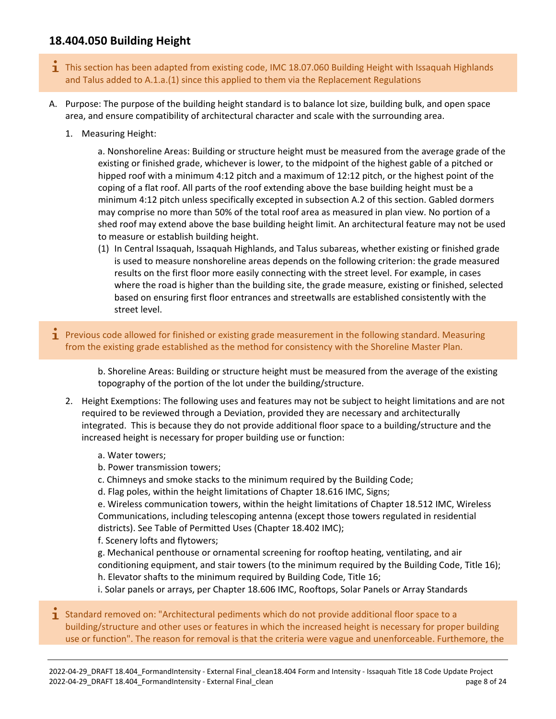# <span id="page-7-0"></span>**18.404.050 Building Height**

- $\mathbf{I}$  This section has been adapted from existing code, IMC 18.07.060 Building Height with Issaquah Highlands and Talus added to A.1.a.(1) since this applied to them via the Replacement Regulations
- A. Purpose: The purpose of the building height standard is to balance lot size, building bulk, and open space area, and ensure compatibility of architectural character and scale with the surrounding area.
	- 1. Measuring Height:

a. Nonshoreline Areas: Building or structure height must be measured from the average grade of the existing or finished grade, whichever is lower, to the midpoint of the highest gable of a pitched or hipped roof with a minimum 4:12 pitch and a maximum of 12:12 pitch, or the highest point of the coping of a flat roof. All parts of the roof extending above the base building height must be a minimum 4:12 pitch unless specifically excepted in subsection A.2 of this section. Gabled dormers may comprise no more than 50% of the total roof area as measured in plan view. No portion of a shed roof may extend above the base building height limit. An architectural feature may not be used to measure or establish building height.

- (1) In Central Issaquah, Issaquah Highlands, and Talus subareas, whether existing or finished grade is used to measure nonshoreline areas depends on the following criterion: the grade measured results on the first floor more easily connecting with the street level. For example, in cases where the road is higher than the building site, the grade measure, existing or finished, selected based on ensuring first floor entrances and streetwalls are established consistently with the street level.
- **1** Previous code allowed for finished or existing grade measurement in the following standard. Measuring from the existing grade established as the method for consistency with the Shoreline Master Plan.

b. Shoreline Areas: Building or structure height must be measured from the average of the existing topography of the portion of the lot under the building/structure.

- 2. Height Exemptions: The following uses and features may not be subject to height limitations and are not required to be reviewed through a Deviation, provided they are necessary and architecturally integrated. This is because they do not provide additional floor space to a building/structure and the increased height is necessary for proper building use or function:
	- a. Water towers;
	- b. Power transmission towers;
	- c. Chimneys and smoke stacks to the minimum required by the Building Code;
	- d. Flag poles, within the height limitations of Chapter 18.616 IMC, Signs;

e. Wireless communication towers, within the height limitations of Chapter 18.512 IMC, Wireless Communications, including telescoping antenna (except those towers regulated in residential districts). See Table of Permitted Uses (Chapter 18.402 IMC);

f. Scenery lofts and flytowers;

g. Mechanical penthouse or ornamental screening for rooftop heating, ventilating, and air conditioning equipment, and stair towers (to the minimum required by the Building Code, Title 16); h. Elevator shafts to the minimum required by Building Code, Title 16;

i. Solar panels or arrays, per Chapter 18.606 IMC, Rooftops, Solar Panels or Array Standards

 $\overline{1}$  Standard removed on: "Architectural pediments which do not provide additional floor space to a building/structure and other uses or features in which the increased height is necessary for proper building use or function". The reason for removal is that the criteria were vague and unenforceable. Furthemore, the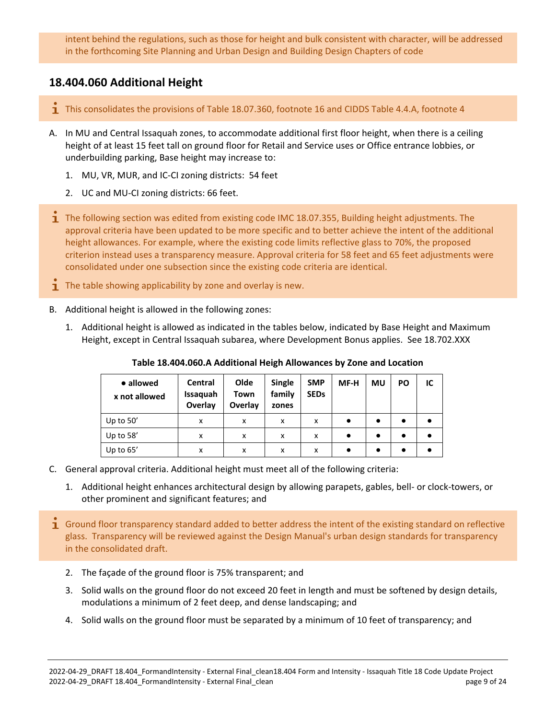intent behind the regulations, such as those for height and bulk consistent with character, will be addressed in the forthcoming Site Planning and Urban Design and Building Design Chapters of code

# <span id="page-8-0"></span>**18.404.060 Additional Height**

- This consolidates the provisions of Table 18.07.360, footnote 16 and CIDDS Table 4.4.A, footnote 4
- A. In MU and Central Issaquah zones, to accommodate additional first floor height, when there is a ceiling height of at least 15 feet tall on ground floor for Retail and Service uses or Office entrance lobbies, or underbuilding parking, Base height may increase to:
	- 1. MU, VR, MUR, and IC-CI zoning districts: 54 feet
	- 2. UC and MU-CI zoning districts: 66 feet.
- **T** The following section was edited from existing code IMC 18.07.355, Building height adjustments. The approval criteria have been updated to be more specific and to better achieve the intent of the additional height allowances. For example, where the existing code limits reflective glass to 70%, the proposed criterion instead uses a transparency measure. Approval criteria for 58 feet and 65 feet adjustments were consolidated under one subsection since the existing code criteria are identical.
- $\mathbf{\dot{I}}$  The table showing applicability by zone and overlay is new.
- B. Additional height is allowed in the following zones:
	- 1. Additional height is allowed as indicated in the tables below, indicated by Base Height and Maximum Height, except in Central Issaquah subarea, where Development Bonus applies. See 18.702.XXX

| • allowed<br>x not allowed | <b>Central</b><br>Issaquah<br>Overlay | Olde<br>Town<br>Overlay | Single<br>family<br>zones | <b>SMP</b><br><b>SEDs</b> | MF-H      | MU        | <b>PO</b> | IC |
|----------------------------|---------------------------------------|-------------------------|---------------------------|---------------------------|-----------|-----------|-----------|----|
| Up to $50'$                | x                                     | x                       | x                         | x                         | $\bullet$ | $\bullet$ | $\bullet$ |    |
| Up to 58'                  | x                                     | x                       | x                         | x                         | ٠         | ٠         | $\bullet$ |    |
| Up to $65'$                | x                                     | x                       | x                         | x                         | ٠         | $\bullet$ | $\bullet$ |    |

**Table 18.404.060.A Additional Heigh Allowances by Zone and Location**

- C. General approval criteria. Additional height must meet all of the following criteria:
	- 1. Additional height enhances architectural design by allowing parapets, gables, bell- or clock-towers, or other prominent and significant features; and
- **I** Ground floor transparency standard added to better address the intent of the existing standard on reflective glass. Transparency will be reviewed against the Design Manual's urban design standards for transparency in the consolidated draft.
	- 2. The façade of the ground floor is 75% transparent; and
	- 3. Solid walls on the ground floor do not exceed 20 feet in length and must be softened by design details, modulations a minimum of 2 feet deep, and dense landscaping; and
	- 4. Solid walls on the ground floor must be separated by a minimum of 10 feet of transparency; and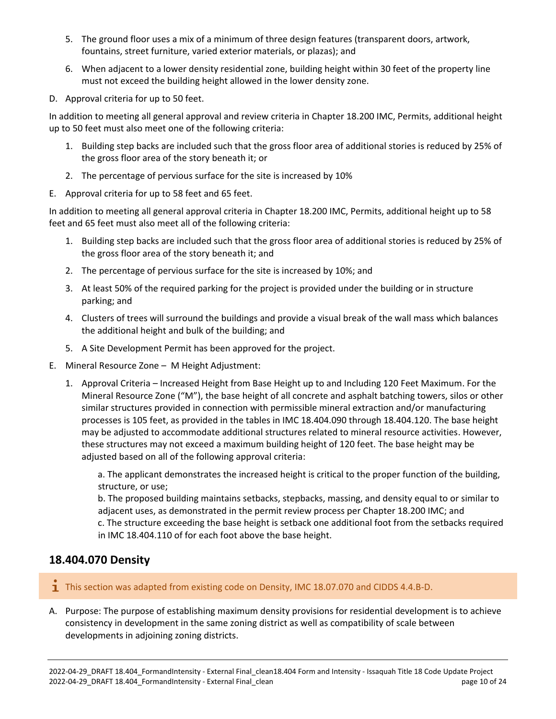- 5. The ground floor uses a mix of a minimum of three design features (transparent doors, artwork, fountains, street furniture, varied exterior materials, or plazas); and
- 6. When adjacent to a lower density residential zone, building height within 30 feet of the property line must not exceed the building height allowed in the lower density zone.
- D. Approval criteria for up to 50 feet.

In addition to meeting all general approval and review criteria in Chapter 18.200 IMC, Permits, additional height up to 50 feet must also meet one of the following criteria:

- 1. Building step backs are included such that the gross floor area of additional stories is reduced by 25% of the gross floor area of the story beneath it; or
- 2. The percentage of pervious surface for the site is increased by 10%
- E. Approval criteria for up to 58 feet and 65 feet.

In addition to meeting all general approval criteria in Chapter 18.200 IMC, Permits, additional height up to 58 feet and 65 feet must also meet all of the following criteria:

- 1. Building step backs are included such that the gross floor area of additional stories is reduced by 25% of the gross floor area of the story beneath it; and
- 2. The percentage of pervious surface for the site is increased by 10%; and
- 3. At least 50% of the required parking for the project is provided under the building or in structure parking; and
- 4. Clusters of trees will surround the buildings and provide a visual break of the wall mass which balances the additional height and bulk of the building; and
- 5. A Site Development Permit has been approved for the project.
- E. Mineral Resource Zone M Height Adjustment:
	- 1. Approval Criteria Increased Height from Base Height up to and Including 120 Feet Maximum. For the Mineral Resource Zone ("M"), the base height of all concrete and asphalt batching towers, silos or other similar structures provided in connection with permissible mineral extraction and/or manufacturing processes is 105 feet, as provided in the tables in IMC 18.404.090 through 18.404.120. The base height may be adjusted to accommodate additional structures related to mineral resource activities. However, these structures may not exceed a maximum building height of 120 feet. The base height may be adjusted based on all of the following approval criteria:

a. The applicant demonstrates the increased height is critical to the proper function of the building, structure, or use;

b. The proposed building maintains setbacks, stepbacks, massing, and density equal to or similar to adjacent uses, as demonstrated in the permit review process per Chapter 18.200 IMC; and c. The structure exceeding the base height is setback one additional foot from the setbacks required in IMC 18.404.110 of for each foot above the base height.

# <span id="page-9-0"></span>**18.404.070 Density**

- **T** This section was adapted from existing code on Density, IMC 18.07.070 and CIDDS 4.4.B-D.
- A. Purpose: The purpose of establishing maximum density provisions for residential development is to achieve consistency in development in the same zoning district as well as compatibility of scale between developments in adjoining zoning districts.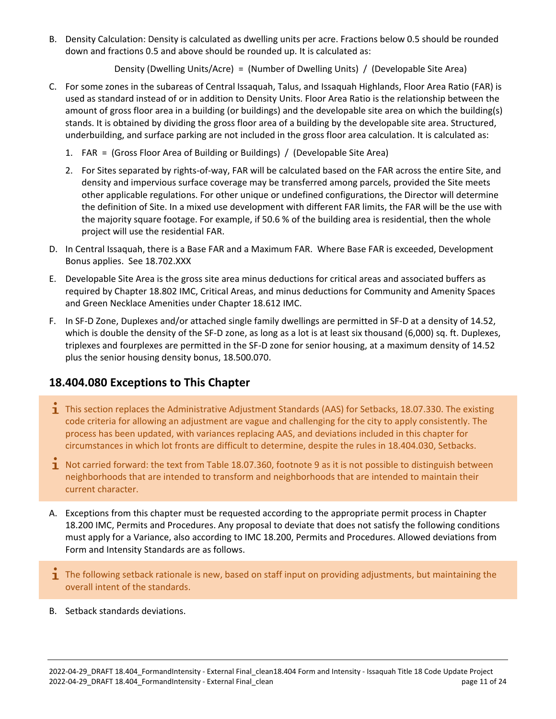B. Density Calculation: Density is calculated as dwelling units per acre. Fractions below 0.5 should be rounded down and fractions 0.5 and above should be rounded up. It is calculated as:

Density (Dwelling Units/Acre) = (Number of Dwelling Units) / (Developable Site Area)

- C. For some zones in the subareas of Central Issaquah, Talus, and Issaquah Highlands, Floor Area Ratio (FAR) is used as standard instead of or in addition to Density Units. Floor Area Ratio is the relationship between the amount of gross floor area in a building (or buildings) and the developable site area on which the building(s) stands. It is obtained by dividing the gross floor area of a building by the developable site area. Structured, underbuilding, and surface parking are not included in the gross floor area calculation. It is calculated as:
	- 1. FAR = (Gross Floor Area of Building or Buildings) / (Developable Site Area)
	- 2. For Sites separated by rights-of-way, FAR will be calculated based on the FAR across the entire Site, and density and impervious surface coverage may be transferred among parcels, provided the Site meets other applicable regulations. For other unique or undefined configurations, the Director will determine the definition of Site. In a mixed use development with different FAR limits, the FAR will be the use with the majority square footage. For example, if 50.6 % of the building area is residential, then the whole project will use the residential FAR.
- D. In Central Issaquah, there is a Base FAR and a Maximum FAR. Where Base FAR is exceeded, Development Bonus applies. See 18.702.XXX
- E. Developable Site Area is the gross site area minus deductions for critical areas and associated buffers as required by Chapter 18.802 IMC, Critical Areas, and minus deductions for Community and Amenity Spaces and Green Necklace Amenities under Chapter 18.612 IMC.
- F. In SF-D Zone, Duplexes and/or attached single family dwellings are permitted in SF-D at a density of 14.52, which is double the density of the SF-D zone, as long as a lot is at least six thousand (6,000) sq. ft. Duplexes, triplexes and fourplexes are permitted in the SF-D zone for senior housing, at a maximum density of 14.52 plus the senior housing density bonus, 18.500.070.

# <span id="page-10-0"></span>**18.404.080 Exceptions to This Chapter**

- 1 This section replaces the Administrative Adjustment Standards (AAS) for Setbacks, 18.07.330. The existing code criteria for allowing an adjustment are vague and challenging for the city to apply consistently. The process has been updated, with variances replacing AAS, and deviations included in this chapter for circumstances in which lot fronts are difficult to determine, despite the rules in 18.404.030, Setbacks.
- 1 Not carried forward: the text from Table 18.07.360, footnote 9 as it is not possible to distinguish between neighborhoods that are intended to transform and neighborhoods that are intended to maintain their current character.
- A. Exceptions from this chapter must be requested according to the appropriate permit process in Chapter 18.200 IMC, Permits and Procedures. Any proposal to deviate that does not satisfy the following conditions must apply for a Variance, also according to IMC 18.200, Permits and Procedures. Allowed deviations from Form and Intensity Standards are as follows.
- **T** The following setback rationale is new, based on staff input on providing adjustments, but maintaining the overall intent of the standards.
- B. Setback standards deviations.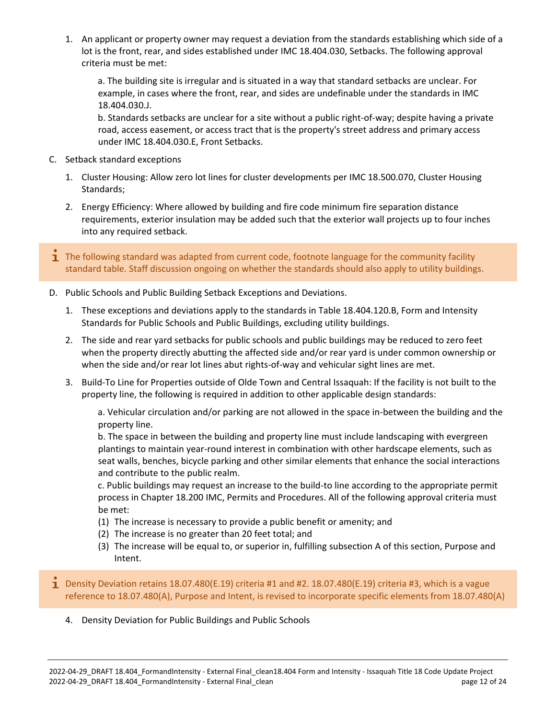1. An applicant or property owner may request a deviation from the standards establishing which side of a lot is the front, rear, and sides established under IMC 18.404.030, Setbacks. The following approval criteria must be met:

a. The building site is irregular and is situated in a way that standard setbacks are unclear. For example, in cases where the front, rear, and sides are undefinable under the standards in IMC 18.404.030.J.

b. Standards setbacks are unclear for a site without a public right-of-way; despite having a private road, access easement, or access tract that is the property's street address and primary access under IMC 18.404.030.E, Front Setbacks.

- C. Setback standard exceptions
	- 1. Cluster Housing: Allow zero lot lines for cluster developments per IMC 18.500.070, Cluster Housing Standards;
	- 2. Energy Efficiency: Where allowed by building and fire code minimum fire separation distance requirements, exterior insulation may be added such that the exterior wall projects up to four inches into any required setback.
- **T** The following standard was adapted from current code, footnote language for the community facility standard table. Staff discussion ongoing on whether the standards should also apply to utility buildings.
- D. Public Schools and Public Building Setback Exceptions and Deviations.
	- 1. These exceptions and deviations apply to the standards in Table 18.404.120.B, Form and Intensity Standards for Public Schools and Public Buildings, excluding utility buildings.
	- 2. The side and rear yard setbacks for public schools and public buildings may be reduced to zero feet when the property directly abutting the affected side and/or rear yard is under common ownership or when the side and/or rear lot lines abut rights-of-way and vehicular sight lines are met.
	- 3. Build-To Line for Properties outside of Olde Town and Central Issaquah: If the facility is not built to the property line, the following is required in addition to other applicable design standards:

a. Vehicular circulation and/or parking are not allowed in the space in-between the building and the property line.

b. The space in between the building and property line must include landscaping with evergreen plantings to maintain year-round interest in combination with other hardscape elements, such as seat walls, benches, bicycle parking and other similar elements that enhance the social interactions and contribute to the public realm.

c. Public buildings may request an increase to the build-to line according to the appropriate permit process in Chapter 18.200 IMC, Permits and Procedures. All of the following approval criteria must be met:

- (1) The increase is necessary to provide a public benefit or amenity; and
- (2) The increase is no greater than 20 feet total; and
- (3) The increase will be equal to, or superior in, fulfilling subsection A of this section, Purpose and Intent.
- **Density Deviation retains 18.07.480(E.19) criteria #1 and #2. 18.07.480(E.19) criteria #3, which is a vague** reference to 18.07.480(A), Purpose and Intent, is revised to incorporate specific elements from 18.07.480(A)
	- 4. Density Deviation for Public Buildings and Public Schools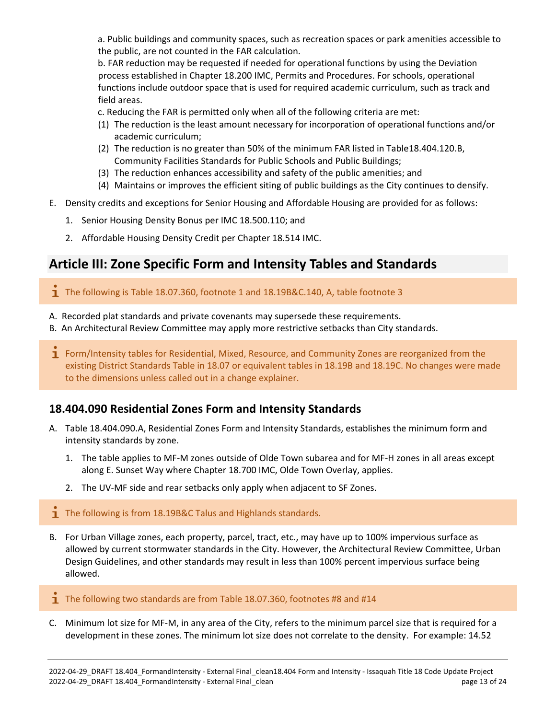a. Public buildings and community spaces, such as recreation spaces or park amenities accessible to the public, are not counted in the FAR calculation.

b. FAR reduction may be requested if needed for operational functions by using the Deviation process established in Chapter 18.200 IMC, Permits and Procedures. For schools, operational functions include outdoor space that is used for required academic curriculum, such as track and field areas.

c. Reducing the FAR is permitted only when all of the following criteria are met:

- (1) The reduction is the least amount necessary for incorporation of operational functions and/or academic curriculum;
- (2) The reduction is no greater than 50% of the minimum FAR listed in Table18.404.120.B, Community Facilities Standards for Public Schools and Public Buildings;
- (3) The reduction enhances accessibility and safety of the public amenities; and
- (4) Maintains or improves the efficient siting of public buildings as the City continues to densify.
- E. Density credits and exceptions for Senior Housing and Affordable Housing are provided for as follows:
	- 1. Senior Housing Density Bonus per IMC 18.500.110; and
	- 2. Affordable Housing Density Credit per Chapter 18.514 IMC.

# <span id="page-12-0"></span>**Article III: Zone Specific Form and Intensity Tables and Standards**

<span id="page-12-1"></span> $\mathbf{I}$  The following is Table 18.07.360, footnote 1 and 18.19B&C.140, A, table footnote 3

- A. Recorded plat standards and private covenants may supersede these requirements.
- B. An Architectural Review Committee may apply more restrictive setbacks than City standards.
- **I** Form/Intensity tables for Residential, Mixed, Resource, and Community Zones are reorganized from the existing District Standards Table in 18.07 or equivalent tables in 18.19B and 18.19C. No changes were made to the dimensions unless called out in a change explainer.

# **18.404.090 Residential Zones Form and Intensity Standards**

- A. Table 18.404.090.A, Residential Zones Form and Intensity Standards, establishes the minimum form and intensity standards by zone.
	- 1. The table applies to MF-M zones outside of Olde Town subarea and for MF-H zones in all areas except along E. Sunset Way where Chapter 18.700 IMC, Olde Town Overlay, applies.
	- 2. The UV-MF side and rear setbacks only apply when adjacent to SF Zones.
- $\blacksquare$  The following is from 18.19B&C Talus and Highlands standards.
- B. For Urban Village zones, each property, parcel, tract, etc., may have up to 100% impervious surface as allowed by current stormwater standards in the City. However, the Architectural Review Committee, Urban Design Guidelines, and other standards may result in less than 100% percent impervious surface being allowed.
- $\mathbf{\dot{1}}$  The following two standards are from Table 18.07.360, footnotes #8 and #14
- C. Minimum lot size for MF-M, in any area of the City, refers to the minimum parcel size that is required for a development in these zones. The minimum lot size does not correlate to the density. For example: 14.52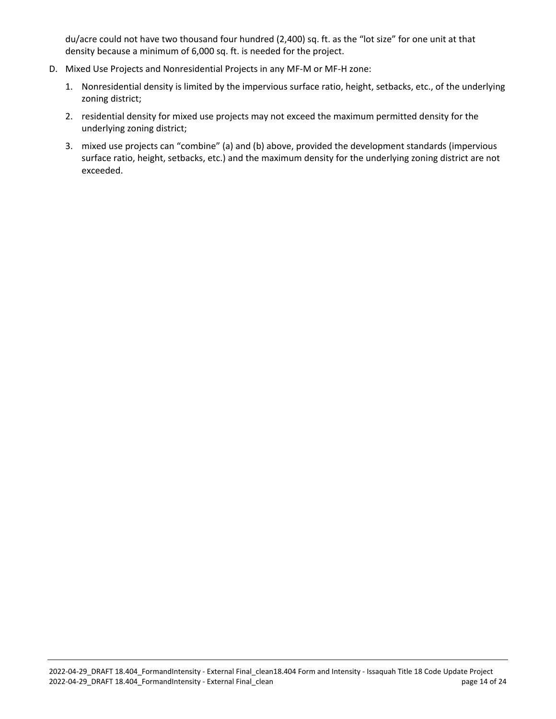du/acre could not have two thousand four hundred (2,400) sq. ft. as the "lot size" for one unit at that density because a minimum of 6,000 sq. ft. is needed for the project.

- D. Mixed Use Projects and Nonresidential Projects in any MF-M or MF-H zone:
	- 1. Nonresidential density is limited by the impervious surface ratio, height, setbacks, etc., of the underlying zoning district;
	- 2. residential density for mixed use projects may not exceed the maximum permitted density for the underlying zoning district;
	- 3. mixed use projects can "combine" (a) and (b) above, provided the development standards (impervious surface ratio, height, setbacks, etc.) and the maximum density for the underlying zoning district are not exceeded.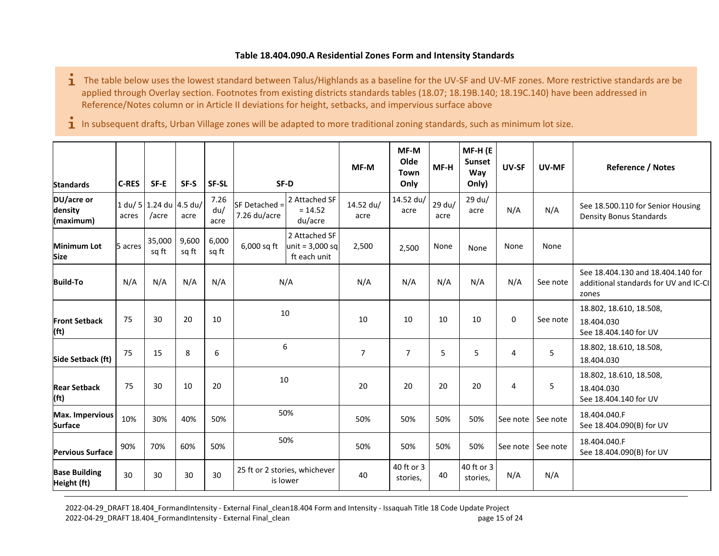#### **Table 18.404.090.A Residential Zones Form and Intensity Standards**

- $\mathbf{\dot{1}}$  The table below uses the lowest standard between Talus/Highlands as a baseline for the UV-SF and UV-MF zones. More restrictive standards are be applied through Overlay section. Footnotes from existing districts standards tables (18.07; 18.19B.140; 18.19C.140) have been addressed in Reference/Notes column or in Article II deviations for height, setbacks, and impervious surface above
- $\mathbf i$  In subsequent drafts, Urban Village zones will be adapted to more traditional zoning standards, such as minimum lot size.

| <b>Standards</b>                          | <b>C-RES</b> | SF-E                             | SF-S           | SF-SL               |                               | SF-D                                               | MF-M              | MF-M<br>Olde<br>Town<br>Only | MF-H           | MF-H (E<br><b>Sunset</b><br>Way<br>Only) | <b>UV-SF</b> | UV-MF    | <b>Reference / Notes</b>                                                            |
|-------------------------------------------|--------------|----------------------------------|----------------|---------------------|-------------------------------|----------------------------------------------------|-------------------|------------------------------|----------------|------------------------------------------|--------------|----------|-------------------------------------------------------------------------------------|
| DU/acre or<br>density<br>(maximum)        | acres        | 1 du/ 5 1.24 du 4.5 du/<br>/acre | acre           | 7.26<br>du/<br>acre | SF Detached =<br>7.26 du/acre | 2 Attached SF<br>$= 14.52$<br>du/acre              | 14.52 du/<br>acre | 14.52 du/<br>acre            | 29 du/<br>acre | 29 du/<br>acre                           | N/A          | N/A      | See 18.500.110 for Senior Housing<br><b>Density Bonus Standards</b>                 |
| Minimum Lot<br><b>Size</b>                | 5 acres      | 35,000<br>sq ft                  | 9,600<br>sq ft | 6,000<br>sq ft      | 6,000 sq ft                   | 2 Attached SF<br>unit = $3,000$ sq<br>ft each unit | 2,500             | 2,500                        | None           | None                                     | None         | None     |                                                                                     |
| <b>Build-To</b>                           | N/A          | N/A                              | N/A            | N/A                 |                               | N/A                                                | N/A               | N/A                          | N/A            | N/A                                      | N/A          | See note | See 18.404.130 and 18.404.140 for<br>additional standards for UV and IC-CI<br>zones |
| <b>Front Setback</b><br>(f <sub>t</sub> ) | 75           | 30                               | 20             | 10                  |                               | 10                                                 |                   | 10                           | 10             | 10                                       | $\mathbf 0$  | See note | 18.802, 18.610, 18.508,<br>18.404.030<br>See 18.404.140 for UV                      |
| Side Setback (ft)                         | 75           | 15                               | 8              | 6                   |                               | 6                                                  | $\overline{7}$    | $\overline{7}$               | 5              | 5                                        | 4            | 5        | 18.802, 18.610, 18.508,<br>18.404.030                                               |
| <b>Rear Setback</b><br>(f <sub>t</sub> )  | 75           | 30                               | 10             | 20                  |                               | 10                                                 |                   | 20                           | 20             | 20                                       | 4            | 5        | 18.802, 18.610, 18.508,<br>18.404.030<br>See 18.404.140 for UV                      |
| <b>Max. Impervious</b><br><b>Surface</b>  | 10%          | 30%                              | 40%            | 50%                 |                               | 50%                                                | 50%               | 50%                          | 50%            | 50%                                      | See note     | See note | 18.404.040.F<br>See 18.404.090(B) for UV                                            |
| <b>Pervious Surface</b>                   | 90%          | 70%                              | 60%            | 50%                 |                               | 50%                                                |                   | 50%                          | 50%            | 50%                                      | See note     | See note | 18.404.040.F<br>See 18.404.090(B) for UV                                            |
| <b>Base Building</b><br>Height (ft)       | 30           | 30                               | 30             | 30                  |                               | 25 ft or 2 stories, whichever<br>is lower          |                   | 40 ft or 3<br>stories,       | 40             | 40 ft or 3<br>stories,                   | N/A          | N/A      |                                                                                     |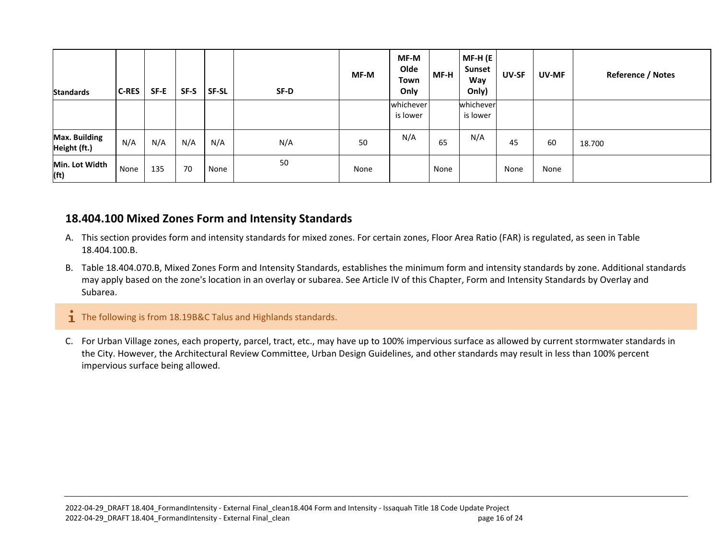| <b>Standards</b>                     | <b>C-RES</b> | SF-E | SF-S | <b>SF-SL</b> | SF-D | MF-M | MF-M<br>Olde<br>Town<br>Only | MF-H | MF-H (E<br><b>Sunset</b><br>Way<br>Only) | <b>UV-SF</b> | <b>UV-MF</b> | <b>Reference / Notes</b> |
|--------------------------------------|--------------|------|------|--------------|------|------|------------------------------|------|------------------------------------------|--------------|--------------|--------------------------|
|                                      |              |      |      |              |      |      | whichever<br>is lower        |      | whichever<br>is lower                    |              |              |                          |
| <b>Max. Building</b><br>Height (ft.) | N/A          | N/A  | N/A  | N/A          | N/A  | 50   | N/A                          | 65   | N/A                                      | 45           | 60           | 18.700                   |
| Min. Lot Width<br>(f <sub>t</sub> )  | None         | 135  | 70   | None         | 50   | None |                              | None |                                          | None         | None         |                          |

# **18.404.100 Mixed Zones Form and Intensity Standards**

- A. This section provides form and intensity standards for mixed zones. For certain zones, Floor Area Ratio (FAR) is regulated, as seen in Table 18.404.100.B.
- B. Table 18.404.070.B, Mixed Zones Form and Intensity Standards, establishes the minimum form and intensity standards by zone. Additional standards may apply based on the zone's location in an overlay or subarea. See Article IV of this Chapter, Form and Intensity Standards by Overlay and Subarea.

### $\mathbf{\dot{1}}$  The following is from 18.19B&C Talus and Highlands standards.

<span id="page-15-0"></span>C. For Urban Village zones, each property, parcel, tract, etc., may have up to 100% impervious surface as allowed by current stormwater standards in the City. However, the Architectural Review Committee, Urban Design Guidelines, and other standards may result in less than 100% percent impervious surface being allowed.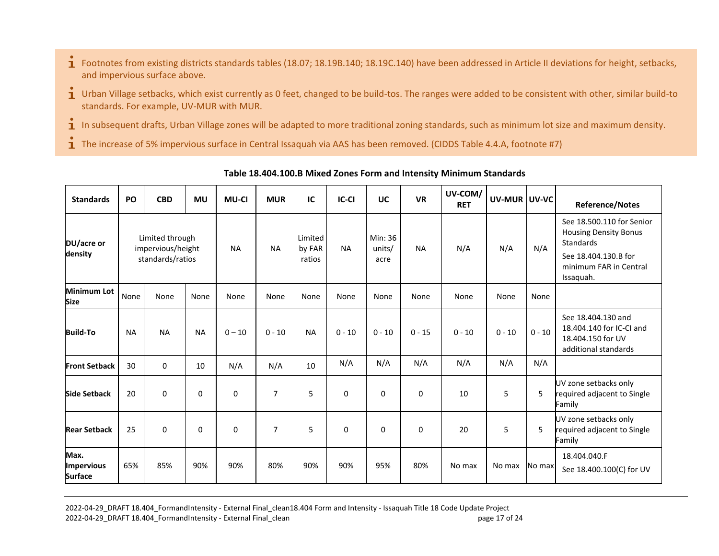- $\mathbf{\dot{1}}$  Footnotes from existing districts standards tables (18.07; 18.19B.140; 18.19C.140) have been addressed in Article II deviations for height, setbacks, and impervious surface above.
- $\mathbf i$  Urban Village setbacks, which exist currently as 0 feet, changed to be build-tos. The ranges were added to be consistent with other, similar build-to standards. For example, UV-MUR with MUR.
- 1 In subsequent drafts, Urban Village zones will be adapted to more traditional zoning standards, such as minimum lot size and maximum density.
- $\mathbf{\dot{1}}$  The increase of 5% impervious surface in Central Issaquah via AAS has been removed. (CIDDS Table 4.4.A, footnote #7)

| <b>Standards</b>                            | PO        | <b>CBD</b>                                               | <b>MU</b> | <b>MU-CI</b> | <b>MUR</b>     | IC                          | <b>IC-CI</b> | <b>UC</b>                 | <b>VR</b> | UV-COM/<br><b>RET</b> | UV-MUR UV-VC |          | <b>Reference/Notes</b>                                                                                                                       |
|---------------------------------------------|-----------|----------------------------------------------------------|-----------|--------------|----------------|-----------------------------|--------------|---------------------------|-----------|-----------------------|--------------|----------|----------------------------------------------------------------------------------------------------------------------------------------------|
| DU/acre or<br>density                       |           | Limited through<br>impervious/height<br>standards/ratios |           | <b>NA</b>    | <b>NA</b>      | Limited<br>by FAR<br>ratios | <b>NA</b>    | Min: 36<br>units/<br>acre | <b>NA</b> | N/A                   | N/A          | N/A      | See 18.500.110 for Senior<br><b>Housing Density Bonus</b><br><b>Standards</b><br>See 18.404.130.B for<br>minimum FAR in Central<br>Issaquah. |
| <b>Minimum Lot</b><br><b>Size</b>           | None      | None                                                     | None      | None         | None           | None                        | None         | None                      | None      | None                  | None         | None     |                                                                                                                                              |
| <b>Build-To</b>                             | <b>NA</b> | <b>NA</b>                                                | <b>NA</b> | $0 - 10$     | $0 - 10$       | <b>NA</b>                   | $0 - 10$     | $0 - 10$                  | $0 - 15$  | $0 - 10$              | $0 - 10$     | $0 - 10$ | See 18.404.130 and<br>18.404.140 for IC-CI and<br>18.404.150 for UV<br>additional standards                                                  |
| <b>Front Setback</b>                        | 30        | $\mathbf 0$                                              | 10        | N/A          | N/A            | 10                          | N/A          | N/A                       | N/A       | N/A                   | N/A          | N/A      |                                                                                                                                              |
| <b>Side Setback</b>                         | 20        | 0                                                        | $\Omega$  | 0            | $\overline{7}$ | 5                           | $\mathbf 0$  | 0                         | 0         | 10                    | 5            | 5        | UV zone setbacks only<br>required adjacent to Single<br>Family                                                                               |
| <b>Rear Setback</b>                         | 25        | 0                                                        | $\Omega$  | 0            | $\overline{7}$ | 5                           | $\Omega$     | $\Omega$                  | 0         | 20                    | 5            | 5        | UV zone setbacks only<br>required adjacent to Single<br>Family                                                                               |
| Max.<br><b>Impervious</b><br><b>Surface</b> | 65%       | 85%                                                      | 90%       | 90%          | 80%            | 90%                         | 90%          | 95%                       | 80%       | No max                | No max       | No max   | 18.404.040.F<br>See 18.400.100(C) for UV                                                                                                     |

#### **Table 18.404.100.B Mixed Zones Form and Intensity Minimum Standards**

2022-04-29\_DRAFT 18.404\_FormandIntensity - External Final\_clean18.404 Form and Intensity - Issaquah Title 18 Code Update Project 2022-04-29\_DRAFT 18.404\_FormandIntensity - External Final\_clean page 17 of 24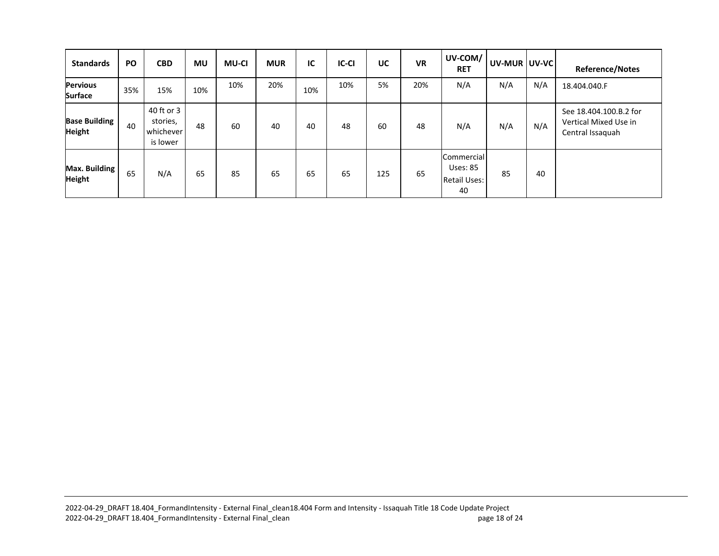| <b>Standards</b>                      | <b>PO</b> | <b>CBD</b>                                      | MU  | <b>MU-CI</b> | <b>MUR</b> | IC  | <b>IC-CI</b> | UC  | <b>VR</b> | UV-COM/<br><b>RET</b>                                      | UV-MUR   UV-VC |     | <b>Reference/Notes</b>                                              |
|---------------------------------------|-----------|-------------------------------------------------|-----|--------------|------------|-----|--------------|-----|-----------|------------------------------------------------------------|----------------|-----|---------------------------------------------------------------------|
| <b>Pervious</b><br><b>Surface</b>     | 35%       | 15%                                             | 10% | 10%          | 20%        | 10% | 10%          | 5%  | 20%       | N/A                                                        | N/A            | N/A | 18.404.040.F                                                        |
| <b>Base Building</b><br><b>Height</b> | 40        | 40 ft or 3<br>stories,<br>whichever<br>is lower | 48  | 60           | 40         | 40  | 48           | 60  | 48        | N/A                                                        | N/A            | N/A | See 18.404.100.B.2 for<br>Vertical Mixed Use in<br>Central Issaguah |
| Max. Building<br><b>Height</b>        | 65        | N/A                                             | 65  | 85           | 65         | 65  | 65           | 125 | 65        | Commercial<br><b>Uses: 85</b><br><b>Retail Uses:</b><br>40 | 85             | 40  |                                                                     |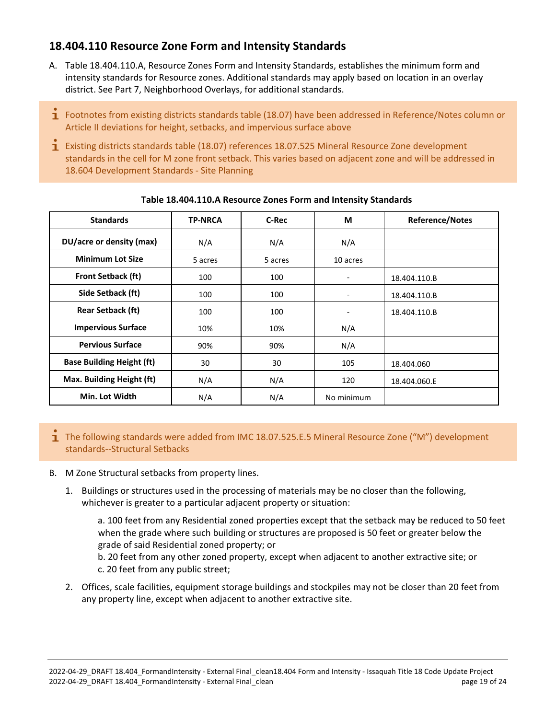# <span id="page-18-0"></span>**18.404.110 Resource Zone Form and Intensity Standards**

- A. Table 18.404.110.A, Resource Zones Form and Intensity Standards, establishes the minimum form and intensity standards for Resource zones. Additional standards may apply based on location in an overlay district. See Part 7, Neighborhood Overlays, for additional standards.
- **1** Footnotes from existing districts standards table (18.07) have been addressed in Reference/Notes column or Article II deviations for height, setbacks, and impervious surface above
- Existing districts standards table (18.07) references 18.07.525 Mineral Resource Zone development standards in the cell for M zone front setback. This varies based on adjacent zone and will be addressed in 18.604 Development Standards - Site Planning

| <b>Standards</b>                 | <b>TP-NRCA</b> | C-Rec   | М          | <b>Reference/Notes</b> |
|----------------------------------|----------------|---------|------------|------------------------|
| DU/acre or density (max)         | N/A            | N/A     | N/A        |                        |
| <b>Minimum Lot Size</b>          | 5 acres        | 5 acres | 10 acres   |                        |
| <b>Front Setback (ft)</b>        | 100            | 100     |            | 18.404.110.B           |
| Side Setback (ft)                | 100            | 100     |            | 18.404.110.B           |
| <b>Rear Setback (ft)</b>         | 100            | 100     |            | 18.404.110.B           |
| <b>Impervious Surface</b>        | 10%            | 10%     | N/A        |                        |
| <b>Pervious Surface</b>          | 90%            | 90%     | N/A        |                        |
| <b>Base Building Height (ft)</b> | 30             | 30      | 105        | 18.404.060             |
| Max. Building Height (ft)        | N/A            | N/A     | 120        | 18.404.060.E           |
| Min. Lot Width                   | N/A            | N/A     | No minimum |                        |

#### **Table 18.404.110.A Resource Zones Form and Intensity Standards**

The following standards were added from IMC 18.07.525.E.5 Mineral Resource Zone ("M") development standards--Structural Setbacks

#### B. M Zone Structural setbacks from property lines.

1. Buildings or structures used in the processing of materials may be no closer than the following, whichever is greater to a particular adjacent property or situation:

a. 100 feet from any Residential zoned properties except that the setback may be reduced to 50 feet when the grade where such building or structures are proposed is 50 feet or greater below the grade of said Residential zoned property; or

b. 20 feet from any other zoned property, except when adjacent to another extractive site; or c. 20 feet from any public street;

2. Offices, scale facilities, equipment storage buildings and stockpiles may not be closer than 20 feet from any property line, except when adjacent to another extractive site.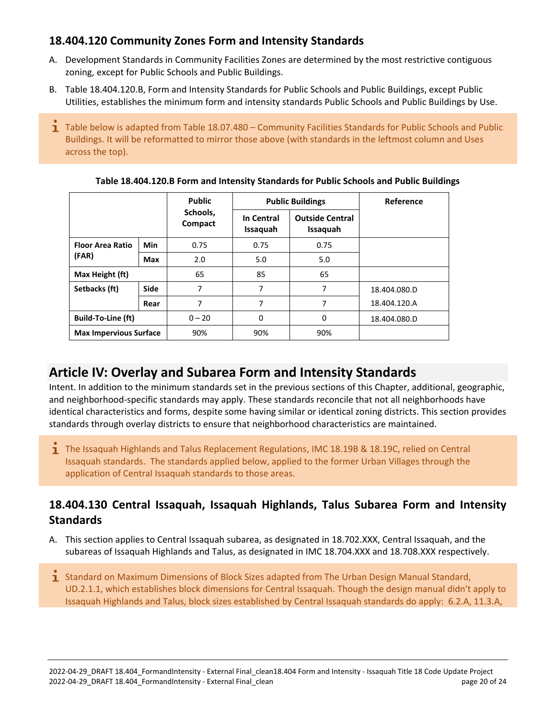# <span id="page-19-0"></span>**18.404.120 Community Zones Form and Intensity Standards**

- A. Development Standards in Community Facilities Zones are determined by the most restrictive contiguous zoning, except for Public Schools and Public Buildings.
- B. Table 18.404.120.B, Form and Intensity Standards for Public Schools and Public Buildings, except Public Utilities, establishes the minimum form and intensity standards Public Schools and Public Buildings by Use.
- 1 Table below is adapted from Table 18.07.480 Community Facilities Standards for Public Schools and Public Buildings. It will be reformatted to mirror those above (with standards in the leftmost column and Uses across the top).

|                               |             | <b>Public</b>       |                        | <b>Public Buildings</b>            | Reference    |
|-------------------------------|-------------|---------------------|------------------------|------------------------------------|--------------|
|                               |             | Schools,<br>Compact | In Central<br>Issaquah | <b>Outside Central</b><br>Issaquah |              |
| <b>Floor Area Ratio</b>       | Min         | 0.75                | 0.75                   | 0.75                               |              |
| (FAR)                         | <b>Max</b>  | 2.0                 | 5.0                    | 5.0                                |              |
| Max Height (ft)               |             | 65                  | 85                     | 65                                 |              |
| Setbacks (ft)                 | <b>Side</b> | 7                   | 7                      | 7                                  | 18.404.080.D |
|                               | Rear        | 7                   | 7                      | 7                                  | 18.404.120.A |
| <b>Build-To-Line (ft)</b>     |             | $0 - 20$            | 0                      | 0                                  | 18.404.080.D |
| <b>Max Impervious Surface</b> |             | 90%                 | 90%                    | 90%                                |              |

**Table 18.404.120.B Form and Intensity Standards for Public Schools and Public Buildings**

# <span id="page-19-1"></span>**Article IV: Overlay and Subarea Form and Intensity Standards**

Intent. In addition to the minimum standards set in the previous sections of this Chapter, additional, geographic, and neighborhood-specific standards may apply. These standards reconcile that not all neighborhoods have identical characteristics and forms, despite some having similar or identical zoning districts. This section provides standards through overlay districts to ensure that neighborhood characteristics are maintained.

 $\mathbf{\dot{1}}$  The Issaquah Highlands and Talus Replacement Regulations, IMC 18.19B & 18.19C, relied on Central Issaquah standards. The standards applied below, applied to the former Urban Villages through the application of Central Issaquah standards to those areas.

# <span id="page-19-2"></span>**18.404.130 Central Issaquah, Issaquah Highlands, Talus Subarea Form and Intensity Standards**

- A. This section applies to Central Issaquah subarea, as designated in 18.702.XXX, Central Issaquah, and the subareas of Issaquah Highlands and Talus, as designated in IMC 18.704.XXX and 18.708.XXX respectively.
- **1** Standard on Maximum Dimensions of Block Sizes adapted from The Urban Design Manual Standard, UD.2.1.1, which establishes block dimensions for Central Issaquah. Though the design manual didn't apply to Issaquah Highlands and Talus, block sizes established by Central Issaquah standards do apply: 6.2.A, 11.3.A,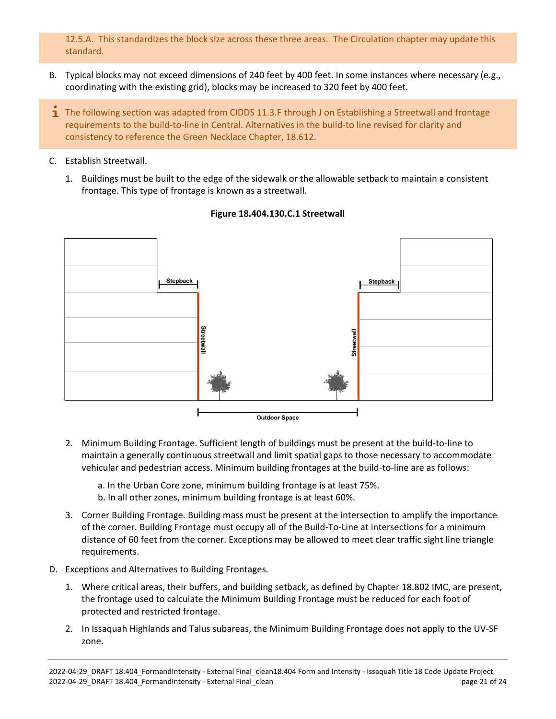12.5.A. This standardizes the block size across these three areas. The Circulation chapter may update this standard.

- B. Typical blocks may not exceed dimensions of 240 feet by 400 feet. In some instances where necessary (e.g., coordinating with the existing grid), blocks may be increased to 320 feet by 400 feet.
- **T** The following section was adapted from CIDDS 11.3.F through J on Establishing a Streetwall and frontage requirements to the build-to-line in Central. Alternatives in the build-to line revised for clarity and consistency to reference the Green Necklace Chapter, 18.612.
- C. Establish Streetwall.
	- 1. Buildings must be built to the edge of the sidewalk or the allowable setback to maintain a consistent frontage. This type of frontage is known as a streetwall.



#### **Figure 18.404.130.C.1 Streetwall**

2. Minimum Building Frontage. Sufficient length of buildings must be present at the build-to-line to maintain a generally continuous streetwall and limit spatial gaps to those necessary to accommodate vehicular and pedestrian access. Minimum building frontages at the build-to-line are as follows:

a. In the Urban Core zone, minimum building frontage is at least 75%. b. In all other zones, minimum building frontage is at least 60%.

- 3. Corner Building Frontage. Building mass must be present at the intersection to amplify the importance of the corner. Building Frontage must occupy all of the Build-To-Line at intersections for a minimum distance of 60 feet from the corner. Exceptions may be allowed to meet clear traffic sight line triangle requirements.
- D. Exceptions and Alternatives to Building Frontages.
	- 1. Where critical areas, their buffers, and building setback, as defined by Chapter 18.802 IMC, are present, the frontage used to calculate the Minimum Building Frontage must be reduced for each foot of protected and restricted frontage.
	- 2. In Issaquah Highlands and Talus subareas, the Minimum Building Frontage does not apply to the UV-SF zone.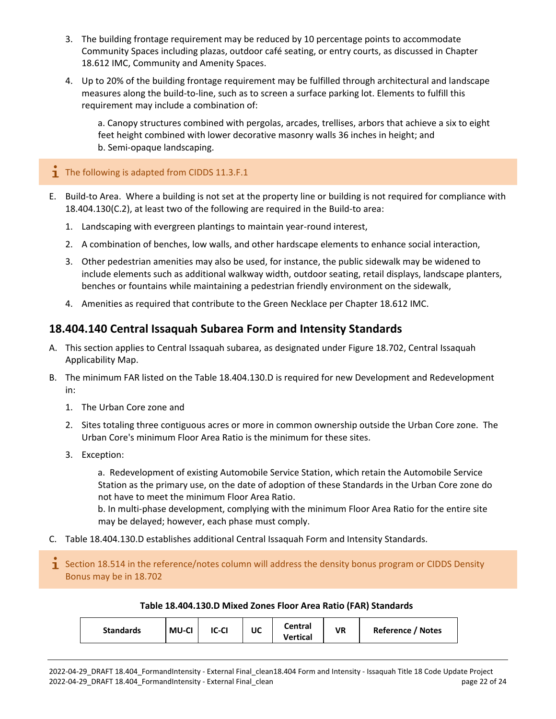- 3. The building frontage requirement may be reduced by 10 percentage points to accommodate Community Spaces including plazas, outdoor café seating, or entry courts, as discussed in Chapter 18.612 IMC, Community and Amenity Spaces.
- 4. Up to 20% of the building frontage requirement may be fulfilled through architectural and landscape measures along the build-to-line, such as to screen a surface parking lot. Elements to fulfill this requirement may include a combination of:

a. Canopy structures combined with pergolas, arcades, trellises, arbors that achieve a six to eight feet height combined with lower decorative masonry walls 36 inches in height; and b. Semi-opaque landscaping.

#### $\overline{1}$  The following is adapted from CIDDS 11.3.F.1

- E. Build-to Area. Where a building is not set at the property line or building is not required for compliance with 18.404.130(C.2), at least two of the following are required in the Build-to area:
	- 1. Landscaping with evergreen plantings to maintain year-round interest,
	- 2. A combination of benches, low walls, and other hardscape elements to enhance social interaction,
	- 3. Other pedestrian amenities may also be used, for instance, the public sidewalk may be widened to include elements such as additional walkway width, outdoor seating, retail displays, landscape planters, benches or fountains while maintaining a pedestrian friendly environment on the sidewalk,
	- 4. Amenities as required that contribute to the Green Necklace per Chapter 18.612 IMC.

# <span id="page-21-0"></span>**18.404.140 Central Issaquah Subarea Form and Intensity Standards**

- A. This section applies to Central Issaquah subarea, as designated under Figure 18.702, Central Issaquah Applicability Map.
- B. The minimum FAR listed on the Table 18.404.130.D is required for new Development and Redevelopment in:
	- 1. The Urban Core zone and
	- 2. Sites totaling three contiguous acres or more in common ownership outside the Urban Core zone. The Urban Core's minimum Floor Area Ratio is the minimum for these sites.
	- 3. Exception:

a. Redevelopment of existing Automobile Service Station, which retain the Automobile Service Station as the primary use, on the date of adoption of these Standards in the Urban Core zone do not have to meet the minimum Floor Area Ratio.

b. In multi-phase development, complying with the minimum Floor Area Ratio for the entire site may be delayed; however, each phase must comply.

- C. Table 18.404.130.D establishes additional Central Issaquah Form and Intensity Standards.
- Section 18.514 in the reference/notes column will address the density bonus program or CIDDS Density Bonus may be in 18.702

#### **Table 18.404.130.D Mixed Zones Floor Area Ratio (FAR) Standards**

| <b>Standards</b><br><b>MU-CI</b><br><b>IC-CI</b><br>UC | Central<br><b>Vertical</b> | VR | Reference / Notes |
|--------------------------------------------------------|----------------------------|----|-------------------|
|--------------------------------------------------------|----------------------------|----|-------------------|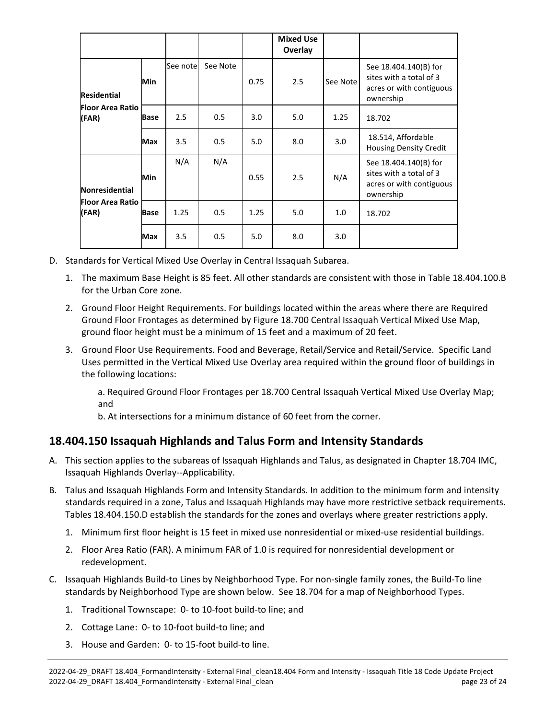|                                  |             |           |          |      | <b>Mixed Use</b><br>Overlay |          |                                                                                           |
|----------------------------------|-------------|-----------|----------|------|-----------------------------|----------|-------------------------------------------------------------------------------------------|
| <b>Residential</b>               | Min         | See notel | See Note | 0.75 | 2.5                         | See Note | See 18.404.140(B) for<br>sites with a total of 3<br>acres or with contiguous<br>ownership |
| <b>Floor Area Ratio</b><br>(FAR) | Base        | 2.5       | 0.5      | 3.0  | 5.0                         | 1.25     | 18.702                                                                                    |
|                                  | Max         | 3.5       | 0.5      | 5.0  | 8.0                         | 3.0      | 18.514, Affordable<br><b>Housing Density Credit</b>                                       |
| <b>Nonresidential</b>            | Min         | N/A       | N/A      | 0.55 | 2.5                         | N/A      | See 18.404.140(B) for<br>sites with a total of 3<br>acres or with contiguous<br>ownership |
| <b>Floor Area Ratio</b><br>(FAR) | <b>Base</b> | 1.25      | 0.5      | 1.25 | 5.0                         | 1.0      | 18.702                                                                                    |
|                                  | Max         | 3.5       | 0.5      | 5.0  | 8.0                         | 3.0      |                                                                                           |

- D. Standards for Vertical Mixed Use Overlay in Central Issaquah Subarea.
	- 1. The maximum Base Height is 85 feet. All other standards are consistent with those in Table 18.404.100.B for the Urban Core zone.
	- 2. Ground Floor Height Requirements. For buildings located within the areas where there are Required Ground Floor Frontages as determined by Figure 18.700 Central Issaquah Vertical Mixed Use Map, ground floor height must be a minimum of 15 feet and a maximum of 20 feet.
	- 3. Ground Floor Use Requirements. Food and Beverage, Retail/Service and Retail/Service. Specific Land Uses permitted in the Vertical Mixed Use Overlay area required within the ground floor of buildings in the following locations:

a. Required Ground Floor Frontages per 18.700 Central Issaquah Vertical Mixed Use Overlay Map; and

b. At intersections for a minimum distance of 60 feet from the corner.

# <span id="page-22-0"></span>**18.404.150 Issaquah Highlands and Talus Form and Intensity Standards**

- A. This section applies to the subareas of Issaquah Highlands and Talus, as designated in Chapter 18.704 IMC, Issaquah Highlands Overlay--Applicability.
- B. Talus and Issaquah Highlands Form and Intensity Standards. In addition to the minimum form and intensity standards required in a zone, Talus and Issaquah Highlands may have more restrictive setback requirements. Tables 18.404.150.D establish the standards for the zones and overlays where greater restrictions apply.
	- 1. Minimum first floor height is 15 feet in mixed use nonresidential or mixed-use residential buildings.
	- 2. Floor Area Ratio (FAR). A minimum FAR of 1.0 is required for nonresidential development or redevelopment.
- C. Issaquah Highlands Build-to Lines by Neighborhood Type. For non-single family zones, the Build-To line standards by Neighborhood Type are shown below. See 18.704 for a map of Neighborhood Types.
	- 1. Traditional Townscape: 0- to 10-foot build-to line; and
	- 2. Cottage Lane: 0- to 10-foot build-to line; and
	- 3. House and Garden: 0- to 15-foot build-to line.